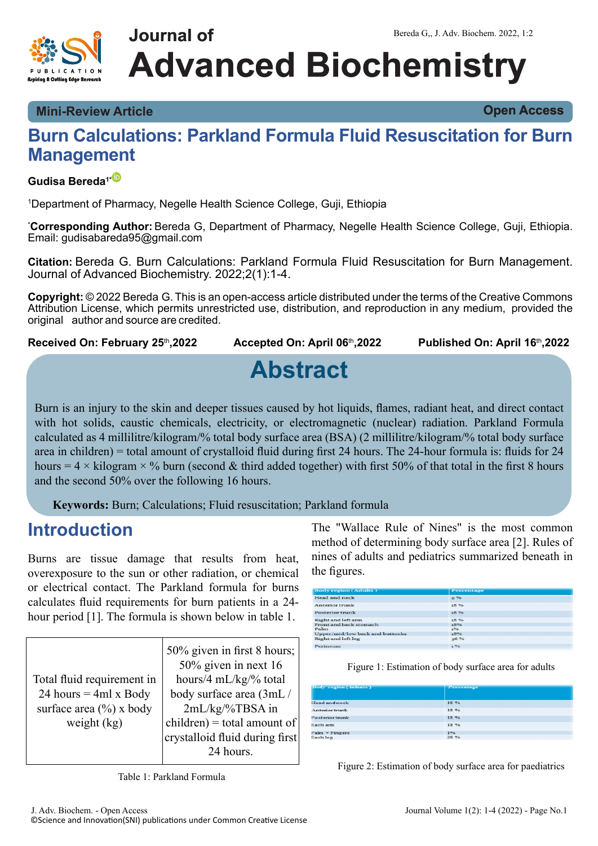

# **Journal of Advanced Biochemistry**

**Mini-Review Article Open Access**

### **Burn Calculations: Parkland Formula Fluid Resuscitation for Burn Management**

### **Gudisa Bereda1[\\*](https://orcid.org/0000-0002-5982-9601)**

<sup>1</sup>Department of Pharmacy, Negelle Health Science College, Guji, Ethiopia

\***Corresponding Author:** Bereda G, Department of Pharmacy, Negelle Health Science College, Guji, Ethiopia. Email: gudisabareda95@gmail.com

**Citation:** Bereda G. Burn Calculations: Parkland Formula Fluid Resuscitation for Burn Management. Journal of Advanced Biochemistry. 2022;2(1):1-4.

**Copyright:** © 2022 Bereda G. This is an open-access article distributed under the terms of the Creative Commons Attribution License, which permits unrestricted use, distribution, and reproduction in any medium, provided the original author and source are credited.

**Received On: February 25**th**,2022 Accepted On: April 06**th**,2022 Published On: April 16**th**,2022**

# **Abstract**

Burn is an injury to the skin and deeper tissues caused by hot liquids, flames, radiant heat, and direct contact with hot solids, caustic chemicals, electricity, or electromagnetic (nuclear) radiation. Parkland Formula calculated as 4 millilitre/kilogram/% total body surface area (BSA) (2 millilitre/kilogram/% total body surface area in children) = total amount of crystalloid fluid during first 24 hours. The 24-hour formula is: fluids for 24 hours = 4  $\times$  kilogram  $\times$  % burn (second & third added together) with first 50% of that total in the first 8 hours and the second 50% over the following 16 hours.

**Keywords:** Burn; Calculations; Fluid resuscitation; Parkland formula

### **Introduction**

Burns are tissue damage that results from heat, overexposure to the sun or other radiation, or chemical or electrical contact. The Parkland formula for burns calculates fluid requirements for burn patients in a 24 hour period [1]. The formula is shown below in table 1.

|                              | 50% given in first 8 hours;    |
|------------------------------|--------------------------------|
|                              | $50\%$ given in next 16        |
| Total fluid requirement in   | hours/4 mL/kg/% total          |
| 24 hours = $4ml \times Body$ | body surface area (3mL/        |
| surface area $(\% )$ x body  | 2mL/kg/%TBSA in                |
| weight $(kg)$                | $children) = total amount of$  |
|                              | crystalloid fluid during first |
|                              | 24 hours.                      |
|                              |                                |

Table 1: Parkland Formula

The "Wallace Rule of Nines" is the most common method of determining body surface area [2]. Rules of nines of adults and pediatrics summarized beneath in the figures.

| <b>Body region (Adults)</b>     | Percentage |  |
|---------------------------------|------------|--|
| Head and neck                   | 96         |  |
| Anterior trunk                  | 18.96      |  |
| <b>Posterior trunk</b>          | 18 %       |  |
| <b>Right and left arm</b>       | 18.96      |  |
| Front and back stomach          | 18%        |  |
| Palm                            | 196        |  |
| Upper/mid/low back and buttocks | 18%        |  |
| Right and left leg              | 36 %       |  |
| Perineum                        | 396        |  |

| Body region (infants) | Percentage |
|-----------------------|------------|
| Head and neck         | 18 %       |
| Anterior trunk        | 18 %       |
| Posterior trunk       | 18 %       |
| Each arm              | 18 %       |
| $Palm + Fingers$      | 1%         |
| Each leg              | 28 %       |

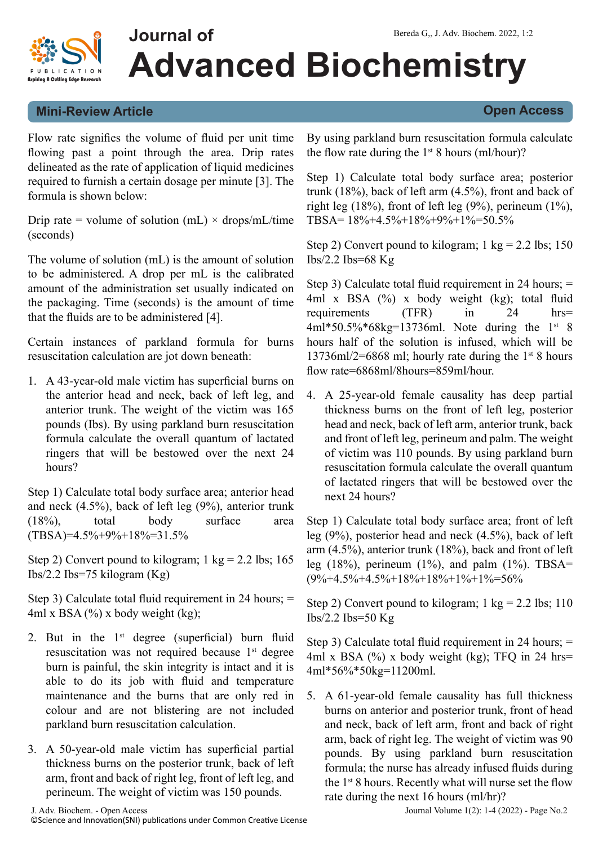

# **Advanced Biochemistry**

#### **Mini-Review Article Open Access**

Flow rate signifies the volume of fluid per unit time flowing past a point through the area. Drip rates delineated as the rate of application of liquid medicines required to furnish a certain dosage per minute [3]. The formula is shown below:

**Journal of**

Drip rate = volume of solution (mL)  $\times$  drops/mL/time (seconds)

The volume of solution (mL) is the amount of solution to be administered. A drop per mL is the calibrated amount of the administration set usually indicated on the packaging. Time (seconds) is the amount of time that the fluids are to be administered [4].

Certain instances of parkland formula for burns resuscitation calculation are jot down beneath:

1. A 43-year-old male victim has superficial burns on the anterior head and neck, back of left leg, and anterior trunk. The weight of the victim was 165 pounds (Ibs). By using parkland burn resuscitation formula calculate the overall quantum of lactated ringers that will be bestowed over the next 24 hours?

Step 1) Calculate total body surface area; anterior head and neck (4.5%), back of left leg (9%), anterior trunk (18%), total body surface area  $(TBSA)=4.5\%+9\%+18\%=31.5\%$ 

Step 2) Convert pound to kilogram;  $1 \text{ kg} = 2.2 \text{ lbs}$ ; 165 Ibs/2.2 Ibs=75 kilogram (Kg)

Step 3) Calculate total fluid requirement in 24 hours; = 4ml x BSA  $(\%)$  x body weight (kg);

- 2. But in the  $1<sup>st</sup>$  degree (superficial) burn fluid resuscitation was not required because 1<sup>st</sup> degree burn is painful, the skin integrity is intact and it is able to do its job with fluid and temperature maintenance and the burns that are only red in colour and are not blistering are not included parkland burn resuscitation calculation.
- 3. A 50-year-old male victim has superficial partial thickness burns on the posterior trunk, back of left arm, front and back of right leg, front of left leg, and perineum. The weight of victim was 150 pounds.

By using parkland burn resuscitation formula calculate the flow rate during the  $1<sup>st</sup> 8$  hours (ml/hour)?

Step 1) Calculate total body surface area; posterior trunk (18%), back of left arm (4.5%), front and back of right leg  $(18%)$ , front of left leg  $(9%)$ , perineum  $(1%)$ , TBSA=  $18\% + 4.5\% + 18\% + 9\% + 1\% = 50.5\%$ 

Step 2) Convert pound to kilogram;  $1 \text{ kg} = 2.2 \text{ lbs}; 150$ Ibs/2.2 Ibs=68  $Kg$ 

Step 3) Calculate total fluid requirement in 24 hours; = 4ml x BSA (%) x body weight (kg); total fluid requirements (TFR) in 24 hrs=  $4ml*50.5%*68kg=13736ml.$  Note during the 1st 8 hours half of the solution is infused, which will be 13736ml/2=6868 ml; hourly rate during the  $1<sup>st</sup> 8$  hours flow rate=6868ml/8hours=859ml/hour.

4. A 25-year-old female causality has deep partial thickness burns on the front of left leg, posterior head and neck, back of left arm, anterior trunk, back and front of left leg, perineum and palm. The weight of victim was 110 pounds. By using parkland burn resuscitation formula calculate the overall quantum of lactated ringers that will be bestowed over the next 24 hours?

Step 1) Calculate total body surface area; front of left leg (9%), posterior head and neck (4.5%), back of left arm (4.5%), anterior trunk (18%), back and front of left leg (18%), perineum (1%), and palm (1%). TBSA=  $(9\% + 4.5\% + 4.5\% + 18\% + 18\% + 1\% + 1\% = 56\%$ 

Step 2) Convert pound to kilogram;  $1 \text{ kg} = 2.2 \text{ lbs}; 110$ Ibs/2.2 Ibs=50  $Kg$ 

Step 3) Calculate total fluid requirement in 24 hours; = 4ml x BSA  $(\%)$  x body weight (kg); TFQ in 24 hrs= 4ml\*56%\*50kg=11200ml.

5. A 61-year-old female causality has full thickness burns on anterior and posterior trunk, front of head and neck, back of left arm, front and back of right arm, back of right leg. The weight of victim was 90 pounds. By using parkland burn resuscitation formula; the nurse has already infused fluids during the  $1<sup>st</sup> 8$  hours. Recently what will nurse set the flow rate during the next 16 hours (ml/hr)?

J. Adv. Biochem. - Open Access Journal Volume 1(2): 1-4 (2022) - Page No.2 ©Science and Innovation(SNI) publications under Common Creative License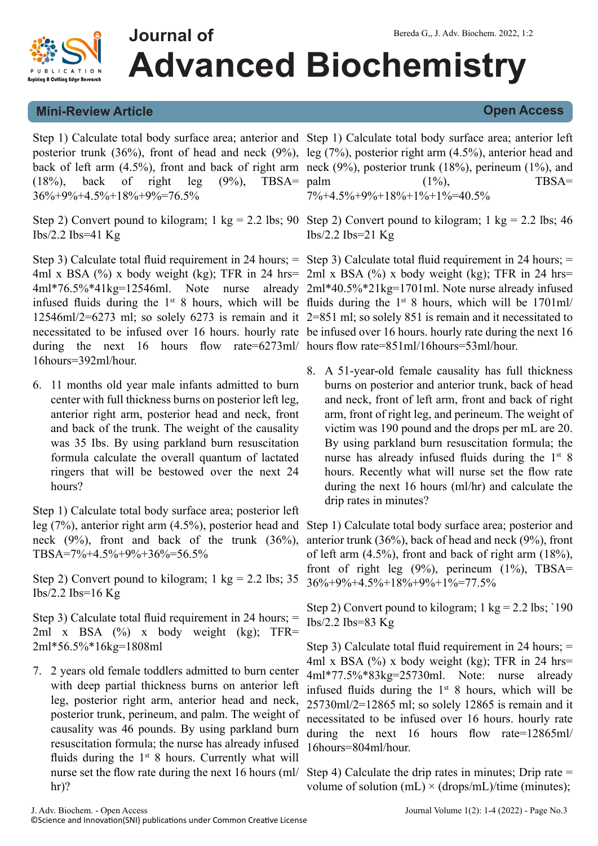

# **Journal of Advanced Biochemistry**

### **Mini-Review Article Open Access**

Step 1) Calculate total body surface area; anterior and Step 1) Calculate total body surface area; anterior left posterior trunk (36%), front of head and neck (9%), leg (7%), posterior right arm (4.5%), anterior head and back of left arm (4.5%), front and back of right arm neck (9%), posterior trunk (18%), perineum (1%), and  $(18\%)$ , back of right leg  $(9\%)$ , TBSA= palm 36%+9%+4.5%+18%+9%=76.5%

Step 2) Convert pound to kilogram; 1 kg = 2.2 lbs; 90 Step 2) Convert pound to kilogram; 1 kg = 2.2 lbs; 46 Ibs/2.2 Ibs=41  $Kg$ 

Step 3) Calculate total fluid requirement in 24 hours; = Step 3) Calculate total fluid requirement in 24 hours; = 4ml x BSA (%) x body weight (kg); TFR in 24 hrs= 2ml x BSA (%) x body weight (kg); TFR in 24 hrs= 4ml\*76.5%\*41kg=12546ml. Note nurse already 2ml\*40.5%\*21kg=1701ml. Note nurse already infused infused fluids during the  $1<sup>st</sup> 8$  hours, which will be fluids during the  $1<sup>st</sup> 8$  hours, which will be 1701ml/ 12546ml/2=6273 ml; so solely 6273 is remain and it 2=851 ml; so solely 851 is remain and it necessitated to necessitated to be infused over 16 hours. hourly rate be infused over 16 hours. hourly rate during the next 16 during the next 16 hours flow rate=6273ml/ hours flow rate=851ml/16hours=53ml/hour. 16hours=392ml/hour.

6. 11 months old year male infants admitted to burn center with full thickness burns on posterior left leg, anterior right arm, posterior head and neck, front and back of the trunk. The weight of the causality was 35 Ibs. By using parkland burn resuscitation formula calculate the overall quantum of lactated ringers that will be bestowed over the next 24 hours?

Step 1) Calculate total body surface area; posterior left leg (7%), anterior right arm (4.5%), posterior head and neck (9%), front and back of the trunk (36%), TBSA=7%+4.5%+9%+36%=56.5%

Step 2) Convert pound to kilogram;  $1 \text{ kg} = 2.2 \text{ lbs}; 35$ Ibs/2.2 Ibs= $16$  Kg

Step 3) Calculate total fluid requirement in 24 hours; = 2ml x BSA (%) x body weight (kg); TFR= 2ml\*56.5%\*16kg=1808ml

7. 2 years old female toddlers admitted to burn center with deep partial thickness burns on anterior left leg, posterior right arm, anterior head and neck, posterior trunk, perineum, and palm. The weight of causality was 46 pounds. By using parkland burn resuscitation formula; the nurse has already infused fluids during the  $1<sup>st</sup> 8$  hours. Currently what will nurse set the flow rate during the next 16 hours (ml/ hr)?

 $(1\%)$ , TBSA=

Ibs/2.2 Ibs=21 Kg

 $7\% + 4.5\% + 9\% + 18\% + 1\% + 1\% = 40.5\%$ 

8. A 51-year-old female causality has full thickness burns on posterior and anterior trunk, back of head and neck, front of left arm, front and back of right arm, front of right leg, and perineum. The weight of victim was 190 pound and the drops per mL are 20. By using parkland burn resuscitation formula; the nurse has already infused fluids during the  $1<sup>st</sup> 8$ hours. Recently what will nurse set the flow rate during the next 16 hours (ml/hr) and calculate the drip rates in minutes?

Step 1) Calculate total body surface area; posterior and anterior trunk (36%), back of head and neck (9%), front of left arm (4.5%), front and back of right arm (18%), front of right leg  $(9\%)$ , perineum  $(1\%)$ , TBSA= 36%+9%+4.5%+18%+9%+1%=77.5%

Step 2) Convert pound to kilogram;  $1 \text{ kg} = 2.2 \text{ lbs}$ ; '190 Ibs/2.2 Ibs=83  $Kg$ 

Step 3) Calculate total fluid requirement in 24 hours; = 4ml x BSA  $(\%)$  x body weight (kg); TFR in 24 hrs= 4ml\*77.5%\*83kg=25730ml. Note: nurse already infused fluids during the  $1<sup>st</sup> 8$  hours, which will be 25730ml/2=12865 ml; so solely 12865 is remain and it necessitated to be infused over 16 hours. hourly rate during the next 16 hours flow rate=12865ml/ 16hours=804ml/hour.

Step 4) Calculate the drip rates in minutes; Drip rate  $=$ volume of solution (mL)  $\times$  (drops/mL)/time (minutes);